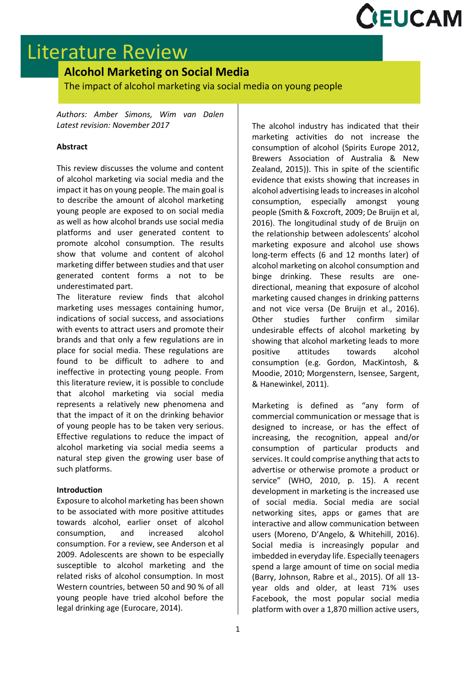

# Literature Review

## **Alcohol Marketing on Social Media**

The impact of alcohol marketing via social media on young people

*Authors: Amber Simons, Wim van Dalen Latest revision: November 2017*

## **Abstract**

This review discusses the volume and content of alcohol marketing via social media and the impact it has on young people. The main goal is to describe the amount of alcohol marketing young people are exposed to on social media as well as how alcohol brands use social media platforms and user generated content to promote alcohol consumption. The results show that volume and content of alcohol marketing differ between studies and that user generated content forms a not to be underestimated part.

The literature review finds that alcohol marketing uses messages containing humor, indications of social success, and associations with events to attract users and promote their brands and that only a few regulations are in place for social media. These regulations are found to be difficult to adhere to and ineffective in protecting young people. From this literature review, it is possible to conclude that alcohol marketing via social media represents a relatively new phenomena and that the impact of it on the drinking behavior of young people has to be taken very serious. Effective regulations to reduce the impact of alcohol marketing via social media seems a natural step given the growing user base of such platforms.

#### **Introduction**

Exposure to alcohol marketing has been shown to be associated with more positive attitudes towards alcohol, earlier onset of alcohol consumption, and increased alcohol consumption. For a review, see Anderson et al 2009. Adolescents are shown to be especially susceptible to alcohol marketing and the related risks of alcohol consumption. In most Western countries, between 50 and 90 % of all young people have tried alcohol before the legal drinking age (Eurocare, 2014).

The alcohol industry has indicated that their marketing activities do not increase the consumption of alcohol (Spirits Europe 2012, Brewers Association of Australia & New Zealand, 2015)). This in spite of the scientific evidence that exists showing that increases in alcohol advertising leads to increases in alcohol consumption, especially amongst young people (Smith & Foxcroft, 2009; De Bruijn et al, 2016). The longitudinal study of de Bruijn on the relationship between adolescents' alcohol marketing exposure and alcohol use shows long-term effects (6 and 12 months later) of alcohol marketing on alcohol consumption and binge drinking. These results are onedirectional, meaning that exposure of alcohol marketing caused changes in drinking patterns and not vice versa (De Bruijn et al., 2016). Other studies further confirm similar undesirable effects of alcohol marketing by showing that alcohol marketing leads to more positive attitudes towards alcohol consumption (e.g. Gordon, MacKintosh, & Moodie, 2010; Morgenstern, Isensee, Sargent, & Hanewinkel, 2011).

Marketing is defined as "any form of commercial communication or message that is designed to increase, or has the effect of increasing, the recognition, appeal and/or consumption of particular products and services. It could comprise anything that acts to advertise or otherwise promote a product or service" (WHO, 2010, p. 15). A recent development in marketing is the increased use of social media. Social media are social networking sites, apps or games that are interactive and allow communication between users (Moreno, D'Angelo, & Whitehill, 2016). Social media is increasingly popular and imbedded in everyday life. Especially teenagers spend a large amount of time on social media (Barry, Johnson, Rabre et al., 2015). Of all 13 year olds and older, at least 71% uses Facebook, the most popular social media platform with over a 1,870 million active users,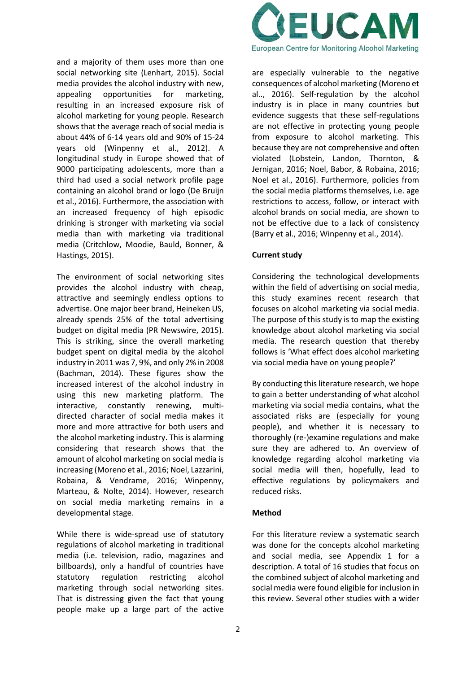and a majority of them uses more than one social networking site (Lenhart, 2015). Social media provides the alcohol industry with new, appealing opportunities for marketing, resulting in an increased exposure risk of alcohol marketing for young people. Research shows that the average reach of social media is about 44% of 6-14 years old and 90% of 15-24 years old (Winpenny et al., 2012). A longitudinal study in Europe showed that of 9000 participating adolescents, more than a third had used a social network profile page containing an alcohol brand or logo (De Bruijn et al., 2016). Furthermore, the association with an increased frequency of high episodic drinking is stronger with marketing via social media than with marketing via traditional media (Critchlow, Moodie, Bauld, Bonner, & Hastings, 2015).

The environment of social networking sites provides the alcohol industry with cheap, attractive and seemingly endless options to advertise. One major beer brand, Heineken US, already spends 25% of the total advertising budget on digital media (PR Newswire, 2015). This is striking, since the overall marketing budget spent on digital media by the alcohol industry in 2011 was 7, 9%, and only 2% in 2008 (Bachman, 2014). These figures show the increased interest of the alcohol industry in using this new marketing platform. The interactive, constantly renewing, multidirected character of social media makes it more and more attractive for both users and the alcohol marketing industry. This is alarming considering that research shows that the amount of alcohol marketing on social media is increasing (Moreno et al., 2016; Noel, Lazzarini, Robaina, & Vendrame, 2016; Winpenny, Marteau, & Nolte, 2014). However, research on social media marketing remains in a developmental stage.

While there is wide-spread use of statutory regulations of alcohol marketing in traditional media (i.e. television, radio, magazines and billboards), only a handful of countries have statutory regulation restricting alcohol marketing through social networking sites. That is distressing given the fact that young people make up a large part of the active



are especially vulnerable to the negative consequences of alcohol marketing (Moreno et al.., 2016). Self-regulation by the alcohol industry is in place in many countries but evidence suggests that these self-regulations are not effective in protecting young people from exposure to alcohol marketing. This because they are not comprehensive and often violated (Lobstein, Landon, Thornton, & Jernigan, 2016; Noel, Babor, & Robaina, 2016; Noel et al., 2016). Furthermore, policies from the social media platforms themselves, i.e. age restrictions to access, follow, or interact with alcohol brands on social media, are shown to not be effective due to a lack of consistency (Barry et al., 2016; Winpenny et al., 2014).

## **Current study**

Considering the technological developments within the field of advertising on social media, this study examines recent research that focuses on alcohol marketing via social media. The purpose of this study is to map the existing knowledge about alcohol marketing via social media. The research question that thereby follows is 'What effect does alcohol marketing via social media have on young people?'

By conducting this literature research, we hope to gain a better understanding of what alcohol marketing via social media contains, what the associated risks are (especially for young people), and whether it is necessary to thoroughly (re-)examine regulations and make sure they are adhered to. An overview of knowledge regarding alcohol marketing via social media will then, hopefully, lead to effective regulations by policymakers and reduced risks.

## **Method**

For this literature review a systematic search was done for the concepts alcohol marketing and social media, see Appendix 1 for a description. A total of 16 studies that focus on the combined subject of alcohol marketing and social media were found eligible for inclusion in this review. Several other studies with a wider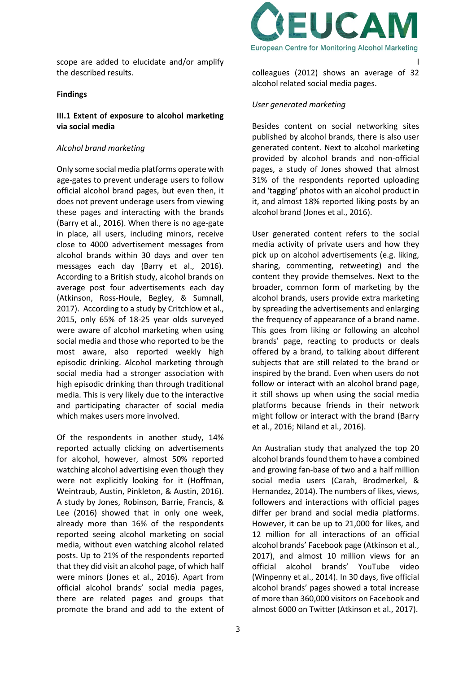scope are added to elucidate and/or amplify the described results.

#### **Findings**

## **III.1 Extent of exposure to alcohol marketing via social media**

## *Alcohol brand marketing*

Only some social media platforms operate with age-gates to prevent underage users to follow official alcohol brand pages, but even then, it does not prevent underage users from viewing these pages and interacting with the brands (Barry et al., 2016). When there is no age-gate in place, all users, including minors, receive close to 4000 advertisement messages from alcohol brands within 30 days and over ten messages each day (Barry et al., 2016). According to a British study, alcohol brands on average post four advertisements each day (Atkinson, Ross-Houle, Begley, & Sumnall, 2017). According to a study by Critchlow et al., 2015, only 65% of 18-25 year olds surveyed were aware of alcohol marketing when using social media and those who reported to be the most aware, also reported weekly high episodic drinking. Alcohol marketing through social media had a stronger association with high episodic drinking than through traditional media. This is very likely due to the interactive and participating character of social media which makes users more involved.

Of the respondents in another study, 14% reported actually clicking on advertisements for alcohol, however, almost 50% reported watching alcohol advertising even though they were not explicitly looking for it (Hoffman, Weintraub, Austin, Pinkleton, & Austin, 2016). A study by Jones, Robinson, Barrie, Francis, & Lee (2016) showed that in only one week, already more than 16% of the respondents reported seeing alcohol marketing on social media, without even watching alcohol related posts. Up to 21% of the respondents reported that they did visit an alcohol page, of which half were minors (Jones et al., 2016). Apart from official alcohol brands' social media pages, there are related pages and groups that promote the brand and add to the extent of



alcohol marketing. Research by Winpenny and colleagues (2012) shows an average of 32 alcohol related social media pages.

#### *User generated marketing*

Besides content on social networking sites published by alcohol brands, there is also user generated content. Next to alcohol marketing provided by alcohol brands and non-official pages, a study of Jones showed that almost 31% of the respondents reported uploading and 'tagging' photos with an alcohol product in it, and almost 18% reported liking posts by an alcohol brand (Jones et al., 2016).

User generated content refers to the social media activity of private users and how they pick up on alcohol advertisements (e.g. liking, sharing, commenting, retweeting) and the content they provide themselves. Next to the broader, common form of marketing by the alcohol brands, users provide extra marketing by spreading the advertisements and enlarging the frequency of appearance of a brand name. This goes from liking or following an alcohol brands' page, reacting to products or deals offered by a brand, to talking about different subjects that are still related to the brand or inspired by the brand. Even when users do not follow or interact with an alcohol brand page, it still shows up when using the social media platforms because friends in their network might follow or interact with the brand (Barry et al., 2016; Niland et al., 2016).

An Australian study that analyzed the top 20 alcohol brands found them to have a combined and growing fan-base of two and a half million social media users (Carah, Brodmerkel, & Hernandez, 2014). The numbers of likes, views, followers and interactions with official pages differ per brand and social media platforms. However, it can be up to 21,000 for likes, and 12 million for all interactions of an official alcohol brands' Facebook page (Atkinson et al., 2017), and almost 10 million views for an official alcohol brands' YouTube video (Winpenny et al., 2014). In 30 days, five official alcohol brands' pages showed a total increase of more than 360,000 visitors on Facebook and almost 6000 on Twitter (Atkinson et al., 2017).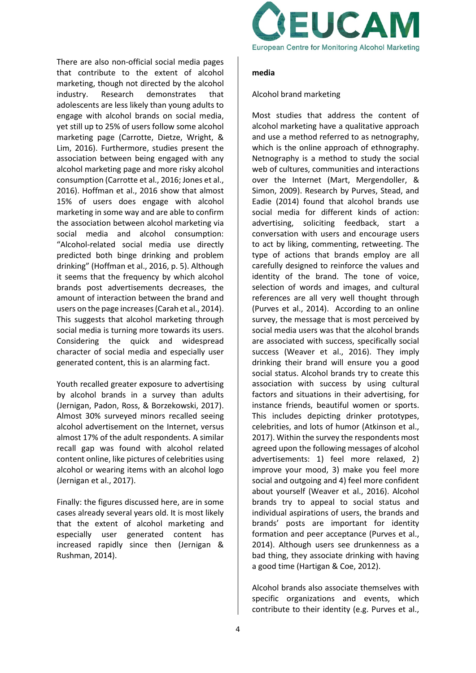There are also non-official social media pages that contribute to the extent of alcohol marketing, though not directed by the alcohol industry. Research demonstrates that adolescents are less likely than young adults to engage with alcohol brands on social media, yet still up to 25% of users follow some alcohol marketing page (Carrotte, Dietze, Wright, & Lim, 2016). Furthermore, studies present the association between being engaged with any alcohol marketing page and more risky alcohol consumption (Carrotte et al., 2016; Jones et al., 2016). Hoffman et al., 2016 show that almost 15% of users does engage with alcohol marketing in some way and are able to confirm the association between alcohol marketing via social media and alcohol consumption: "Alcohol-related social media use directly predicted both binge drinking and problem drinking" (Hoffman et al., 2016, p. 5). Although it seems that the frequency by which alcohol brands post advertisements decreases, the amount of interaction between the brand and users on the page increases (Carah et al., 2014). This suggests that alcohol marketing through social media is turning more towards its users. Considering the quick and widespread character of social media and especially user generated content, this is an alarming fact.

Youth recalled greater exposure to advertising by alcohol brands in a survey than adults (Jernigan, Padon, Ross, & Borzekowski, 2017). Almost 30% surveyed minors recalled seeing alcohol advertisement on the Internet, versus almost 17% of the adult respondents. A similar recall gap was found with alcohol related content online, like pictures of celebrities using alcohol or wearing items with an alcohol logo (Jernigan et al., 2017).

Finally: the figures discussed here, are in some cases already several years old. It is most likely that the extent of alcohol marketing and especially user generated content has increased rapidly since then (Jernigan & Rushman, 2014).



#### **media**

## Alcohol brand marketing

Most studies that address the content of alcohol marketing have a qualitative approach and use a method referred to as netnography, which is the online approach of ethnography. Netnography is a method to study the social web of cultures, communities and interactions over the Internet (Mart, Mergendoller, & Simon, 2009). Research by Purves, Stead, and Eadie (2014) found that alcohol brands use social media for different kinds of action: advertising, soliciting feedback, start a conversation with users and encourage users to act by liking, commenting, retweeting. The type of actions that brands employ are all carefully designed to reinforce the values and identity of the brand. The tone of voice, selection of words and images, and cultural references are all very well thought through (Purves et al., 2014). According to an online survey, the message that is most perceived by social media users was that the alcohol brands are associated with success, specifically social success (Weaver et al., 2016). They imply drinking their brand will ensure you a good social status. Alcohol brands try to create this association with success by using cultural factors and situations in their advertising, for instance friends, beautiful women or sports. This includes depicting drinker prototypes, celebrities, and lots of humor (Atkinson et al., 2017). Within the survey the respondents most agreed upon the following messages of alcohol advertisements: 1) feel more relaxed, 2) improve your mood, 3) make you feel more social and outgoing and 4) feel more confident about yourself (Weaver et al., 2016). Alcohol brands try to appeal to social status and individual aspirations of users, the brands and brands' posts are important for identity formation and peer acceptance (Purves et al., 2014). Although users see drunkenness as a bad thing, they associate drinking with having a good time (Hartigan & Coe, 2012).

Alcohol brands also associate themselves with specific organizations and events, which contribute to their identity (e.g. Purves et al.,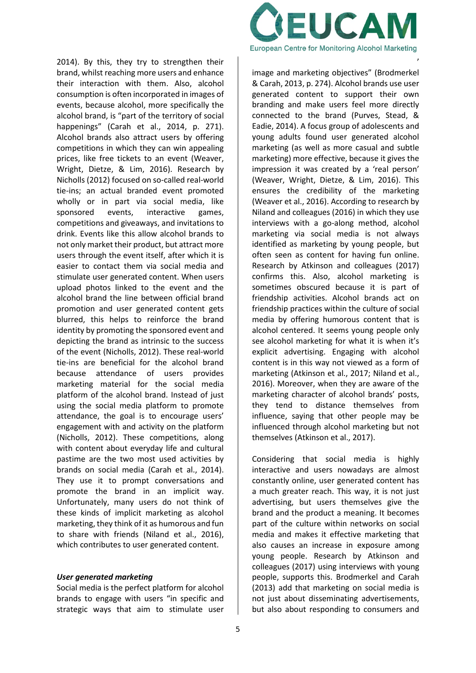2014). By this, they try to strengthen their brand, whilst reaching more users and enhance their interaction with them. Also, alcohol consumption is often incorporated in images of events, because alcohol, more specifically the alcohol brand, is "part of the territory of social happenings" (Carah et al., 2014, p. 271). Alcohol brands also attract users by offering competitions in which they can win appealing prices, like free tickets to an event (Weaver, Wright, Dietze, & Lim, 2016). Research by Nicholls (2012) focused on so-called real-world tie-ins; an actual branded event promoted wholly or in part via social media, like sponsored events, interactive games, competitions and giveaways, and invitations to drink. Events like this allow alcohol brands to not only market their product, but attract more users through the event itself, after which it is easier to contact them via social media and stimulate user generated content. When users upload photos linked to the event and the alcohol brand the line between official brand promotion and user generated content gets blurred, this helps to reinforce the brand identity by promoting the sponsored event and depicting the brand as intrinsic to the success of the event (Nicholls, 2012). These real-world tie-ins are beneficial for the alcohol brand because attendance of users provides marketing material for the social media platform of the alcohol brand. Instead of just using the social media platform to promote attendance, the goal is to encourage users' engagement with and activity on the platform (Nicholls, 2012). These competitions, along with content about everyday life and cultural pastime are the two most used activities by brands on social media (Carah et al., 2014). They use it to prompt conversations and promote the brand in an implicit way. Unfortunately, many users do not think of these kinds of implicit marketing as alcohol marketing, they think of it as humorous and fun to share with friends (Niland et al., 2016), which contributes to user generated content.

#### *User generated marketing*

Social media is the perfect platform for alcohol brands to engage with users "in specific and strategic ways that aim to stimulate user



generated content that contributes to brands'

image and marketing objectives" (Brodmerkel & Carah, 2013, p. 274). Alcohol brands use user generated content to support their own branding and make users feel more directly connected to the brand (Purves, Stead, & Eadie, 2014). A focus group of adolescents and young adults found user generated alcohol marketing (as well as more casual and subtle marketing) more effective, because it gives the impression it was created by a 'real person' (Weaver, Wright, Dietze, & Lim, 2016). This ensures the credibility of the marketing (Weaver et al., 2016). According to research by Niland and colleagues (2016) in which they use interviews with a go-along method, alcohol marketing via social media is not always identified as marketing by young people, but often seen as content for having fun online. Research by Atkinson and colleagues (2017) confirms this. Also, alcohol marketing is sometimes obscured because it is part of friendship activities. Alcohol brands act on friendship practices within the culture of social media by offering humorous content that is alcohol centered. It seems young people only see alcohol marketing for what it is when it's explicit advertising. Engaging with alcohol content is in this way not viewed as a form of marketing (Atkinson et al., 2017; Niland et al., 2016). Moreover, when they are aware of the marketing character of alcohol brands' posts, they tend to distance themselves from influence, saying that other people may be influenced through alcohol marketing but not themselves (Atkinson et al., 2017).

Considering that social media is highly interactive and users nowadays are almost constantly online, user generated content has a much greater reach. This way, it is not just advertising, but users themselves give the brand and the product a meaning. It becomes part of the culture within networks on social media and makes it effective marketing that also causes an increase in exposure among young people. Research by Atkinson and colleagues (2017) using interviews with young people, supports this. Brodmerkel and Carah (2013) add that marketing on social media is not just about disseminating advertisements, but also about responding to consumers and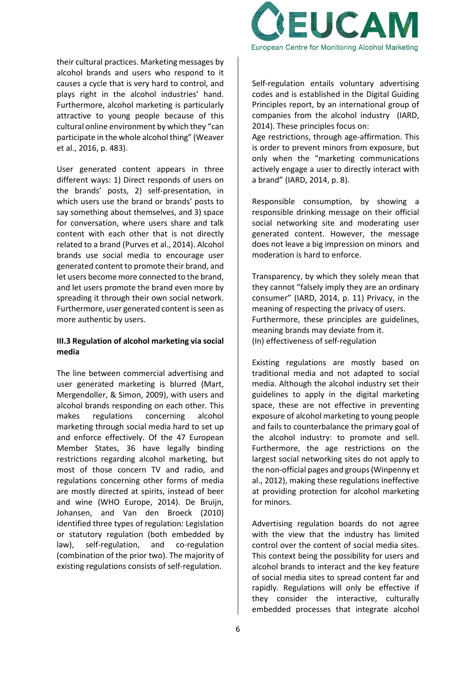their cultural practices. Marketing messages by alcohol brands and users who respond to it causes a cycle that is very hard to control, and plays right in the alcohol industries' hand. Furthermore, alcohol marketing is particularly attractive to young people because of this cultural online environment by which they "can participate in the whole alcohol thing" (Weaver et al., 2016, p. 483).

User generated content appears in three different ways: 1) Direct responds of users on the brands' posts, 2) self-presentation, in which users use the brand or brands' posts to say something about themselves, and 3) space for conversation, where users share and talk content with each other that is not directly related to a brand (Purves et al., 2014). Alcohol brands use social media to encourage user generated content to promote their brand, and let users become more connected to the brand, and let users promote the brand even more by spreading it through their own social network. Furthermore, user generated content is seen as more authentic by users.

#### **III.3 Regulation of alcohol marketing via social media**

The line between commercial advertising and user generated marketing is blurred (Mart, Mergendoller, & Simon, 2009), with users and alcohol brands responding on each other. This makes regulations concerning alcohol marketing through social media hard to set up and enforce effectively. Of the 47 European Member States, 36 have legally binding restrictions regarding alcohol marketing, but most of those concern TV and radio, and regulations concerning other forms of media are mostly directed at spirits, instead of beer and wine (WHO Europe, 2014). De Bruijn, Johansen, and Van den Broeck (2010) identified three types of regulation: Legislation or statutory regulation (both embedded by law), self-regulation, and co-regulation (combination of the prior two). The majority of existing regulations consists of self-regulation.



Self-regulation entails voluntary advertising codes and is established in the Digital Guiding Principles report, by an international group of companies from the alcohol industry (IARD, 2014). These principles focus on:

Age restrictions, through age-affirmation. This is order to prevent minors from exposure, but only when the "marketing communications actively engage a user to directly interact with a brand" (IARD, 2014, p. 8).

Responsible consumption, by showing a responsible drinking message on their official social networking site and moderating user generated content. However, the message does not leave a big impression on minors and moderation is hard to enforce.

Transparency, by which they solely mean that they cannot "falsely imply they are an ordinary consumer" (IARD, 2014, p. 11) Privacy, in the meaning of respecting the privacy of users. Furthermore, these principles are guidelines, meaning brands may deviate from it. (In) effectiveness of self-regulation

Existing regulations are mostly based on traditional media and not adapted to social media. Although the alcohol industry set their guidelines to apply in the digital marketing space, these are not effective in preventing exposure of alcohol marketing to young people and fails to counterbalance the primary goal of the alcohol industry: to promote and sell. Furthermore, the age restrictions on the largest social networking sites do not apply to the non-official pages and groups (Winpenny et al., 2012), making these regulations ineffective at providing protection for alcohol marketing for minors.

Advertising regulation boards do not agree with the view that the industry has limited control over the content of social media sites. This context being the possibility for users and alcohol brands to interact and the key feature of social media sites to spread content far and rapidly. Regulations will only be effective if they consider the interactive, culturally embedded processes that integrate alcohol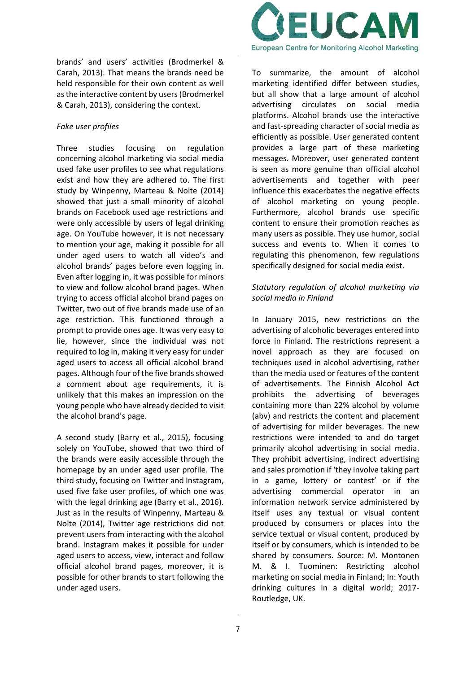brands' and users' activities (Brodmerkel & Carah, 2013). That means the brands need be held responsible for their own content as well as the interactive content by users (Brodmerkel & Carah, 2013), considering the context.

## *Fake user profiles*

Three studies focusing on regulation concerning alcohol marketing via social media used fake user profiles to see what regulations exist and how they are adhered to. The first study by Winpenny, Marteau & Nolte (2014) showed that just a small minority of alcohol brands on Facebook used age restrictions and were only accessible by users of legal drinking age. On YouTube however, it is not necessary to mention your age, making it possible for all under aged users to watch all video's and alcohol brands' pages before even logging in. Even after logging in, it was possible for minors to view and follow alcohol brand pages. When trying to access official alcohol brand pages on Twitter, two out of five brands made use of an age restriction. This functioned through a prompt to provide ones age. It was very easy to lie, however, since the individual was not required to log in, making it very easy for under aged users to access all official alcohol brand pages. Although four of the five brands showed a comment about age requirements, it is unlikely that this makes an impression on the young people who have already decided to visit the alcohol brand's page.

A second study (Barry et al., 2015), focusing solely on YouTube, showed that two third of the brands were easily accessible through the homepage by an under aged user profile. The third study, focusing on Twitter and Instagram, used five fake user profiles, of which one was with the legal drinking age (Barry et al., 2016). Just as in the results of Winpenny, Marteau & Nolte (2014), Twitter age restrictions did not prevent users from interacting with the alcohol brand. Instagram makes it possible for under aged users to access, view, interact and follow official alcohol brand pages, moreover, it is possible for other brands to start following the under aged users.



To summarize, the amount of alcohol marketing identified differ between studies, but all show that a large amount of alcohol advertising circulates on social media platforms. Alcohol brands use the interactive and fast-spreading character of social media as efficiently as possible. User generated content provides a large part of these marketing messages. Moreover, user generated content is seen as more genuine than official alcohol advertisements and together with peer influence this exacerbates the negative effects of alcohol marketing on young people. Furthermore, alcohol brands use specific content to ensure their promotion reaches as many users as possible. They use humor, social success and events to. When it comes to regulating this phenomenon, few regulations specifically designed for social media exist.

## *Statutory regulation of alcohol marketing via social media in Finland*

In January 2015, new restrictions on the advertising of alcoholic beverages entered into force in Finland. The restrictions represent a novel approach as they are focused on techniques used in alcohol advertising, rather than the media used or features of the content of advertisements. The Finnish Alcohol Act prohibits the advertising of beverages containing more than 22% alcohol by volume (abv) and restricts the content and placement of advertising for milder beverages. The new restrictions were intended to and do target primarily alcohol advertising in social media. They prohibit advertising, indirect advertising and sales promotion if 'they involve taking part in a game, lottery or contest' or if the advertising commercial operator in an information network service administered by itself uses any textual or visual content produced by consumers or places into the service textual or visual content, produced by itself or by consumers, which is intended to be shared by consumers. Source: M. Montonen M. & I. Tuominen: Restricting alcohol marketing on social media in Finland; In: Youth drinking cultures in a digital world; 2017- Routledge, UK.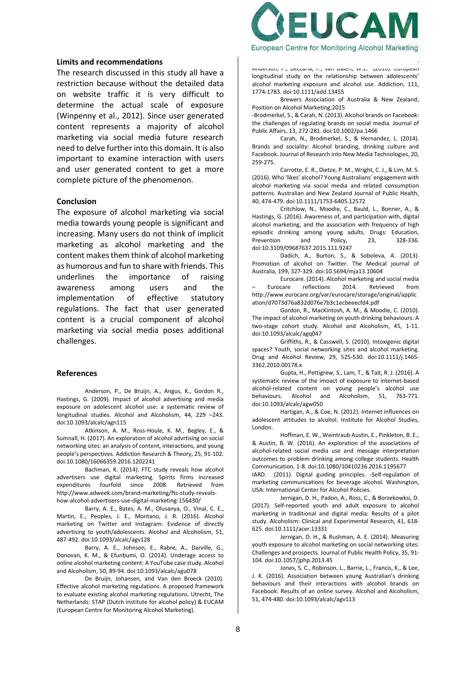#### **Limits and recommendations**

The research discussed in this study all have a restriction because without the detailed data on website traffic it is very difficult to determine the actual scale of exposure (Winpenny et al., 2012). Since user generated content represents a majority of alcohol marketing via social media future research need to delve further into this domain. It is also important to examine interaction with users and user generated content to get a more complete picture of the phenomenon.

#### **Conclusion**

The exposure of alcohol marketing via social media towards young people is significant and increasing. Many users do not think of implicit marketing as alcohol marketing and the content makes them think of alcohol marketing as humorous and fun to share with friends. This underlines the importance of raising awareness among users and the implementation of effective statutory regulations. The fact that user generated content is a crucial component of alcohol marketing via social media poses additional challenges.

#### **References**

Anderson, P., De Bruijn, A., Angus, K., Gordon R., Hastings, G. (2009). Impact of alcohol advertising and media exposure on adolescent alcohol use: a systematic review of longitudinal studies. Alcohol and Alcoholism, 44, 229 –243. doi:10.1093/alcalc/agn115

Atkinson, A. M., Ross-Houle, K. M., Begley, E., & Sumnall, H. (2017). An exploration of alcohol advrtising on social networking sites: an analysis of content, interactions, and young people's perspectives. Addiction Research & Theory, 25, 91-102. doi:10.1080/16066359.2016.1202241

Bachman, K. (2014). FTC study reveals how alcohol advertisers use digital marketing. Spirits firms increased expenditures fourfold since 2008. Retrieved from http://www.adweek.com/brand-marketing/ftc-study-revealshow-alcohol-advertisers-use-digital-marketing-156430/

Barry, A. E., Bates, A. M., Olusanya, O., Vinal, C. E., Martin, E., Peoples, J. E., Montano, J. R. (2016). Alcohol marketing on Twitter and Instagram: Evidence of directly advertising to youth/adolescents. Alcohol and Alcoholism, 51, 487-492. doi:10.1093/alcalc/agv128

Barry, A. E., Johnson, E., Rabre, A., Darville, G., Donovan, K. M., & Efunbumi, O. (2014). Underage access to online alcohol marketing content: A YouTube case study. Alcohol and Alcoholism, 50, 89-94. doi:10.1093/alcalc/agu078

De Bruijn, Johansen, and Van den Broeck (2010). Effective alcohol marketing regulations. A proposed framework to evaluate existing alcohol marketing regulations. Utrecht, The Netherlands: STAP (Dutch institute for alcohol policy) & EUCAM (European Centre for Monitoring Alcohol Marketing).



Anderson, F., Beccaria, F., van Dalen, W.E. (2010). Europeal longitudinal study on the relationship between adolescents' alcohol marketing exposure and alcohol use. Addiction, 111, 1774-1783. doi:10.1111/add.13455

De Bruijn, A., Tanghe, J., de Leeuw, R., Engels, R.,

Brewers Association of Australia & New Zealand; Position on Alcohol Marketing;2015

-Brodmerkel, S., & Carah, N. (2013). Alcohol brands on Facebook: the challenges of regulating brands on social media. Journal of Public Affairs, 13, 272-281. doi:10.1002/pa.1466

Carah, N., Brodmerkel, S., & Hernandez, L. (2014). Brands and sociality: Alcohol branding, drinking culture and Facebook. Journal of Research into New Media Technologies, 20, 259-275.

Carrotte, E. R., Dietze, P. M., Wright, C. J., & Lim, M. S. (2016). Who 'likes' alcohol? Young Australians' engagement with alcohol marketing via social media and related consumption patterns. Australian and New Zealand Journal of Public Health, 40, 474-479. doi:10.1111/1753-6405.12572

Critchlow, N., Moodie, C., Bauld, L., Bonner, A., & Hastings, G. (2016). Awareness of, and participation with, digital alcohol marketing, and the association with frequency of high episodic drinking among young adults. Drugs: Education, Prevention and Policy, 23, 328-336. doi:10.3109/09687637.2015.111.9247

Dadich, A., Burton, S., & Soboleva, A. (2013). Promotion of alcohol on Twitter. The Medical journal of Australia, 199, 327-329. doi:10.5694/mja13.10604

Eurocare. (2014). Alcohol marketing and social media – Eurocare reflections 2014. Retrieved from http://www.eurocare.org/var/eurocare/storage/original/applic ation/d7073d76a832d076e7b3c1ecbeeecfd4.pdf

Gordon, R., MacKintosh, A. M., & Moodie, C. (2010). The impact of alcohol marketing on youth drinking behaviours: A two-stage cohort study. Alcohol and Alcoholism, 45, 1-11. doi:10.1093/alcalc/agq047

Griffiths, R., & Casswell, S. (2010). Intoxigenic digital spaces? Youth, social networking sites and alcohol marketing. Drug and Alcohol Review, 29, 525-530. doi:10.1111/j.1465- 3362.2010.00178.x

Gupta, H., Pettigrew, S., Lam, T., & Tait, R. J. (2016). A systematic review of the imoact of exposure to internet-based alcohol-related content on young people's alcohol use behaviours. Alcohol and Alcoholism, 51, 763-771. doi:10.1093/alcalc/agw050

Hartigan, A., & Coe, N. (2012). Internet influences on adolescent attitudes to alcohol. Institute for Alcohol Studies, London.

Hoffman, E. W., Weintraub Austin, E., Pinkleton, B. E., & Austin, B. W. (2016). An exploration of the associations of alcohol-related social media use and message interpretation outcomes to problem drinking among college students. Health Communication, 1-8. doi:10.1080/10410236.2016.1195677

IARD. (2011). Digital guiding principles. -Self-regulation of marketing communications for beverage alcohol. Washington, USA: International Center for Alcohol Policies.

Jernigan, D. H., Padon, A., Ross, C., & Borzekowksi, D. (2017). Self-reported youth and adult exposure to alcohol marketing in traditional and digital media: Results of a pilot study. Alcoholism: Clinical and Experimental Research, 41, 618- 625. doi:10.1111/acer.13331

Jernigan, D. H., & Rushman, A. E. (2014). Measuring youth exposure to alcohol marketing on social networking sites: Challenges and prospects. Journal of Public Health Policy, 35, 91- 104. doi:10.1057/jphp.2013.45

Jones, S. C., Robinson, L., Barrie, L., Francis, K., & Lee, J. K. (2016). Association between young Australian's drinking behaviours and their interactions with alcohol brands on Facebook: Results of an online survey. Alcohol and Alcoholism, 51, 474-480. doi:10.1093/alcalc/agv113